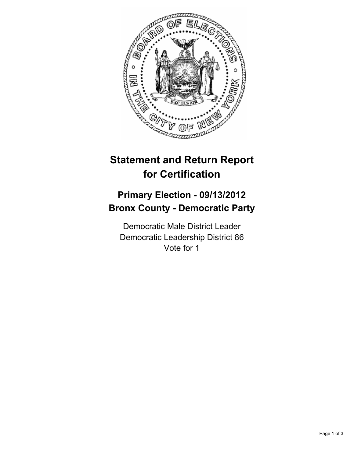

## **Statement and Return Report for Certification**

## **Primary Election - 09/13/2012 Bronx County - Democratic Party**

Democratic Male District Leader Democratic Leadership District 86 Vote for 1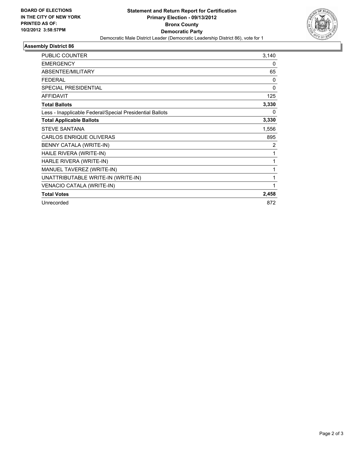

## **Assembly District 86**

| <b>PUBLIC COUNTER</b>                                    | 3,140    |
|----------------------------------------------------------|----------|
| <b>EMERGENCY</b>                                         | 0        |
| ABSENTEE/MILITARY                                        | 65       |
| <b>FEDERAL</b>                                           | $\Omega$ |
| <b>SPECIAL PRESIDENTIAL</b>                              | 0        |
| <b>AFFIDAVIT</b>                                         | 125      |
| <b>Total Ballots</b>                                     | 3,330    |
| Less - Inapplicable Federal/Special Presidential Ballots | 0        |
| <b>Total Applicable Ballots</b>                          | 3,330    |
| <b>STEVE SANTANA</b>                                     | 1,556    |
| CARLOS ENRIQUE OLIVERAS                                  | 895      |
| BENNY CATALA (WRITE-IN)                                  | 2        |
| HAILE RIVERA (WRITE-IN)                                  | 1        |
| HARLE RIVERA (WRITE-IN)                                  | 1        |
| MANUEL TAVEREZ (WRITE-IN)                                | 1        |
| UNATTRIBUTABLE WRITE-IN (WRITE-IN)                       | 1        |
| VENACIO CATALA (WRITE-IN)                                | 1        |
| <b>Total Votes</b>                                       | 2,458    |
| Unrecorded                                               | 872      |